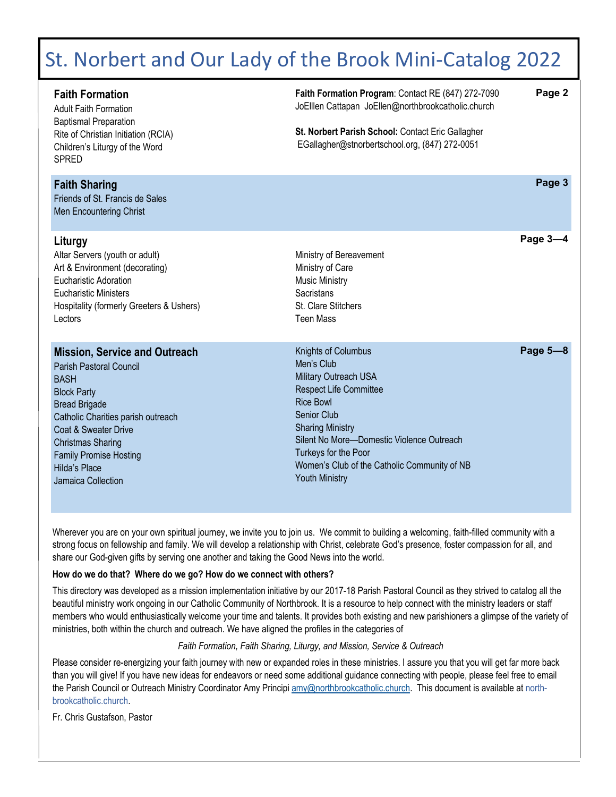# St. Norbert and Our Lady of the Brook Mini‐Catalog 2022

| <b>Faith Formation</b><br><b>Adult Faith Formation</b><br><b>Baptismal Preparation</b><br>Rite of Christian Initiation (RCIA)<br>Children's Liturgy of the Word<br><b>SPRED</b>                                                                                                                | Faith Formation Program: Contact RE (847) 272-7090<br>JoElllen Cattapan JoEllen@northbrookcatholic.church<br>St. Norbert Parish School: Contact Eric Gallagher<br>EGallagher@stnorbertschool.org, (847) 272-0051                                                                                        | Page 2   |
|------------------------------------------------------------------------------------------------------------------------------------------------------------------------------------------------------------------------------------------------------------------------------------------------|---------------------------------------------------------------------------------------------------------------------------------------------------------------------------------------------------------------------------------------------------------------------------------------------------------|----------|
| <b>Faith Sharing</b><br>Friends of St. Francis de Sales<br>Men Encountering Christ                                                                                                                                                                                                             |                                                                                                                                                                                                                                                                                                         | Page 3   |
| Liturgy<br>Altar Servers (youth or adult)<br>Art & Environment (decorating)<br><b>Eucharistic Adoration</b><br><b>Eucharistic Ministers</b><br>Hospitality (formerly Greeters & Ushers)<br>Lectors                                                                                             | Ministry of Bereavement<br>Ministry of Care<br><b>Music Ministry</b><br>Sacristans<br>St. Clare Stitchers<br><b>Teen Mass</b>                                                                                                                                                                           | Page 3-4 |
| <b>Mission, Service and Outreach</b><br>Parish Pastoral Council<br><b>BASH</b><br><b>Block Party</b><br><b>Bread Brigade</b><br>Catholic Charities parish outreach<br>Coat & Sweater Drive<br><b>Christmas Sharing</b><br><b>Family Promise Hosting</b><br>Hilda's Place<br>Jamaica Collection | Knights of Columbus<br>Men's Club<br>Military Outreach USA<br><b>Respect Life Committee</b><br><b>Rice Bowl</b><br>Senior Club<br><b>Sharing Ministry</b><br>Silent No More-Domestic Violence Outreach<br>Turkeys for the Poor<br>Women's Club of the Catholic Community of NB<br><b>Youth Ministry</b> | Page 5-8 |

Wherever you are on your own spiritual journey, we invite you to join us. We commit to building a welcoming, faith-filled community with a strong focus on fellowship and family. We will develop a relationship with Christ, celebrate God's presence, foster compassion for all, and share our God-given gifts by serving one another and taking the Good News into the world.

#### **How do we do that? Where do we go? How do we connect with others?**

This directory was developed as a mission implementation initiative by our 2017-18 Parish Pastoral Council as they strived to catalog all the beautiful ministry work ongoing in our Catholic Community of Northbrook. It is a resource to help connect with the ministry leaders or staff members who would enthusiastically welcome your time and talents. It provides both existing and new parishioners a glimpse of the variety of ministries, both within the church and outreach. We have aligned the profiles in the categories of

*Faith Formation, Faith Sharing, Liturgy, and Mission, Service & Outreach* 

Please consider re-energizing your faith journey with new or expanded roles in these ministries. I assure you that you will get far more back than you will give! If you have new ideas for endeavors or need some additional guidance connecting with people, please feel free to email the Parish Council or Outreach Ministry Coordinator Amy Principi amy@northbrookcatholic.church. This document is available at northbrookcatholic.church.

Fr. Chris Gustafson, Pastor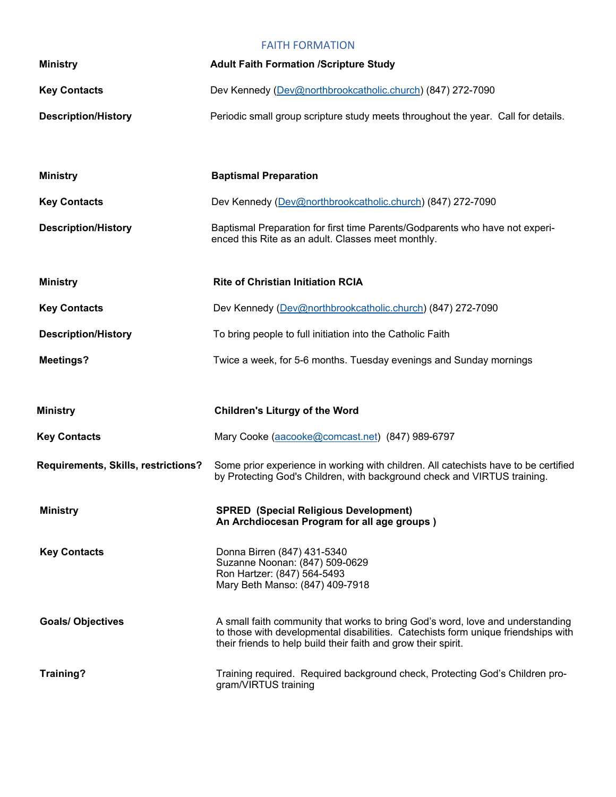#### FAITH FORMATION

| <b>Ministry</b>                     | <b>Adult Faith Formation /Scripture Study</b>                                                                                                                                                                                         |
|-------------------------------------|---------------------------------------------------------------------------------------------------------------------------------------------------------------------------------------------------------------------------------------|
| <b>Key Contacts</b>                 | Dev Kennedy (Dev@northbrookcatholic.church) (847) 272-7090                                                                                                                                                                            |
| <b>Description/History</b>          | Periodic small group scripture study meets throughout the year. Call for details.                                                                                                                                                     |
| <b>Ministry</b>                     | <b>Baptismal Preparation</b>                                                                                                                                                                                                          |
| <b>Key Contacts</b>                 | Dev Kennedy (Dev@northbrookcatholic.church) (847) 272-7090                                                                                                                                                                            |
| <b>Description/History</b>          | Baptismal Preparation for first time Parents/Godparents who have not experi-<br>enced this Rite as an adult. Classes meet monthly.                                                                                                    |
| <b>Ministry</b>                     | <b>Rite of Christian Initiation RCIA</b>                                                                                                                                                                                              |
| <b>Key Contacts</b>                 | Dev Kennedy (Dev@northbrookcatholic.church) (847) 272-7090                                                                                                                                                                            |
| <b>Description/History</b>          | To bring people to full initiation into the Catholic Faith                                                                                                                                                                            |
| <b>Meetings?</b>                    | Twice a week, for 5-6 months. Tuesday evenings and Sunday mornings                                                                                                                                                                    |
| <b>Ministry</b>                     | <b>Children's Liturgy of the Word</b>                                                                                                                                                                                                 |
| <b>Key Contacts</b>                 | Mary Cooke (aacooke@comcast.net) (847) 989-6797                                                                                                                                                                                       |
| Requirements, Skills, restrictions? | Some prior experience in working with children. All catechists have to be certified<br>by Protecting God's Children, with background check and VIRTUS training.                                                                       |
| <b>Ministry</b>                     | <b>SPRED</b> (Special Religious Development)<br>An Archdiocesan Program for all age groups)                                                                                                                                           |
| <b>Key Contacts</b>                 | Donna Birren (847) 431-5340<br>Suzanne Noonan: (847) 509-0629<br>Ron Hartzer: (847) 564-5493<br>Mary Beth Manso: (847) 409-7918                                                                                                       |
| <b>Goals/ Objectives</b>            | A small faith community that works to bring God's word, love and understanding<br>to those with developmental disabilities. Catechists form unique friendships with<br>their friends to help build their faith and grow their spirit. |
| Training?                           | Training required. Required background check, Protecting God's Children pro-<br>gram/VIRTUS training                                                                                                                                  |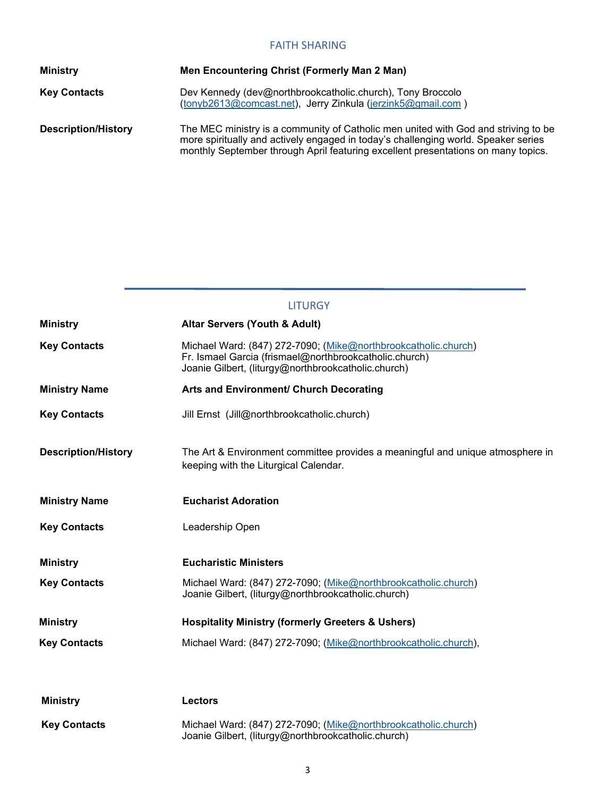#### FAITH SHARING

| <b>Ministry</b>            | Men Encountering Christ (Formerly Man 2 Man)                                                                                                                                                                                                                  |
|----------------------------|---------------------------------------------------------------------------------------------------------------------------------------------------------------------------------------------------------------------------------------------------------------|
| <b>Key Contacts</b>        | Dev Kennedy (dev@northbrookcatholic.church), Tony Broccolo<br>(tonyb2613@comcast.net), Jerry Zinkula (jerzink5@gmail.com)                                                                                                                                     |
| <b>Description/History</b> | The MEC ministry is a community of Catholic men united with God and striving to be<br>more spiritually and actively engaged in today's challenging world. Speaker series<br>monthly September through April featuring excellent presentations on many topics. |

|                            | <b>LITURGY</b>                                                                                                                                                                  |
|----------------------------|---------------------------------------------------------------------------------------------------------------------------------------------------------------------------------|
| <b>Ministry</b>            | <b>Altar Servers (Youth &amp; Adult)</b>                                                                                                                                        |
| <b>Key Contacts</b>        | Michael Ward: (847) 272-7090; (Mike@northbrookcatholic.church)<br>Fr. Ismael Garcia (frismael@northbrookcatholic.church)<br>Joanie Gilbert, (liturgy@northbrookcatholic.church) |
| <b>Ministry Name</b>       | Arts and Environment/ Church Decorating                                                                                                                                         |
| <b>Key Contacts</b>        | Jill Ernst (Jill@northbrookcatholic.church)                                                                                                                                     |
| <b>Description/History</b> | The Art & Environment committee provides a meaningful and unique atmosphere in<br>keeping with the Liturgical Calendar.                                                         |
| <b>Ministry Name</b>       | <b>Eucharist Adoration</b>                                                                                                                                                      |
| <b>Key Contacts</b>        | Leadership Open                                                                                                                                                                 |
| <b>Ministry</b>            | <b>Eucharistic Ministers</b>                                                                                                                                                    |
| <b>Key Contacts</b>        | Michael Ward: (847) 272-7090; (Mike@northbrookcatholic.church)<br>Joanie Gilbert, (liturgy@northbrookcatholic.church)                                                           |
| <b>Ministry</b>            | <b>Hospitality Ministry (formerly Greeters &amp; Ushers)</b>                                                                                                                    |
| <b>Key Contacts</b>        | Michael Ward: (847) 272-7090; (Mike@northbrookcatholic.church),                                                                                                                 |
|                            |                                                                                                                                                                                 |
| <b>Ministry</b>            | <b>Lectors</b>                                                                                                                                                                  |
| <b>Key Contacts</b>        | Michael Ward: (847) 272-7090; (Mike@northbrookcatholic.church)<br>Joanie Gilbert, (liturgy@northbrookcatholic.church)                                                           |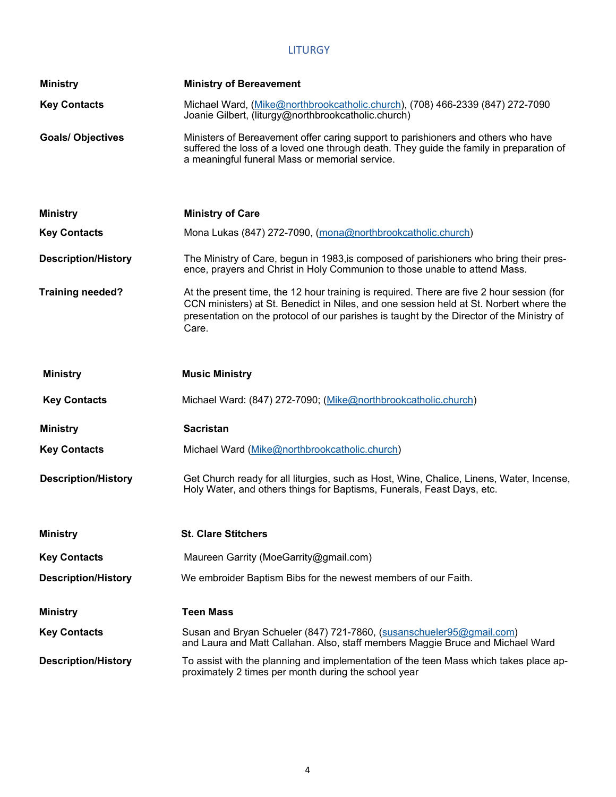## LITURGY

| <b>Ministry</b>            | <b>Ministry of Bereavement</b>                                                                                                                                                                                                                                                            |
|----------------------------|-------------------------------------------------------------------------------------------------------------------------------------------------------------------------------------------------------------------------------------------------------------------------------------------|
| <b>Key Contacts</b>        | Michael Ward, (Mike@northbrookcatholic.church), (708) 466-2339 (847) 272-7090<br>Joanie Gilbert, (liturgy@northbrookcatholic.church)                                                                                                                                                      |
| <b>Goals/ Objectives</b>   | Ministers of Bereavement offer caring support to parishioners and others who have<br>suffered the loss of a loved one through death. They guide the family in preparation of<br>a meaningful funeral Mass or memorial service.                                                            |
| <b>Ministry</b>            | <b>Ministry of Care</b>                                                                                                                                                                                                                                                                   |
| <b>Key Contacts</b>        | Mona Lukas (847) 272-7090, (mona@northbrookcatholic.church)                                                                                                                                                                                                                               |
| <b>Description/History</b> | The Ministry of Care, begun in 1983, is composed of parishioners who bring their pres-<br>ence, prayers and Christ in Holy Communion to those unable to attend Mass.                                                                                                                      |
| <b>Training needed?</b>    | At the present time, the 12 hour training is required. There are five 2 hour session (for<br>CCN ministers) at St. Benedict in Niles, and one session held at St. Norbert where the<br>presentation on the protocol of our parishes is taught by the Director of the Ministry of<br>Care. |
| <b>Ministry</b>            | <b>Music Ministry</b>                                                                                                                                                                                                                                                                     |
| <b>Key Contacts</b>        | Michael Ward: (847) 272-7090; (Mike@northbrookcatholic.church)                                                                                                                                                                                                                            |
| <b>Ministry</b>            | <b>Sacristan</b>                                                                                                                                                                                                                                                                          |
| <b>Key Contacts</b>        | Michael Ward (Mike@northbrookcatholic.church)                                                                                                                                                                                                                                             |
| <b>Description/History</b> | Get Church ready for all liturgies, such as Host, Wine, Chalice, Linens, Water, Incense,<br>Holy Water, and others things for Baptisms, Funerals, Feast Days, etc.                                                                                                                        |
| <b>Ministry</b>            | <b>St. Clare Stitchers</b>                                                                                                                                                                                                                                                                |
| <b>Key Contacts</b>        | Maureen Garrity (MoeGarrity@gmail.com)                                                                                                                                                                                                                                                    |
| <b>Description/History</b> | We embroider Baptism Bibs for the newest members of our Faith.                                                                                                                                                                                                                            |
| <b>Ministry</b>            | <b>Teen Mass</b>                                                                                                                                                                                                                                                                          |
| <b>Key Contacts</b>        | Susan and Bryan Schueler (847) 721-7860, (susanschueler95@gmail.com)<br>and Laura and Matt Callahan. Also, staff members Maggie Bruce and Michael Ward                                                                                                                                    |
| <b>Description/History</b> | To assist with the planning and implementation of the teen Mass which takes place ap-<br>proximately 2 times per month during the school year                                                                                                                                             |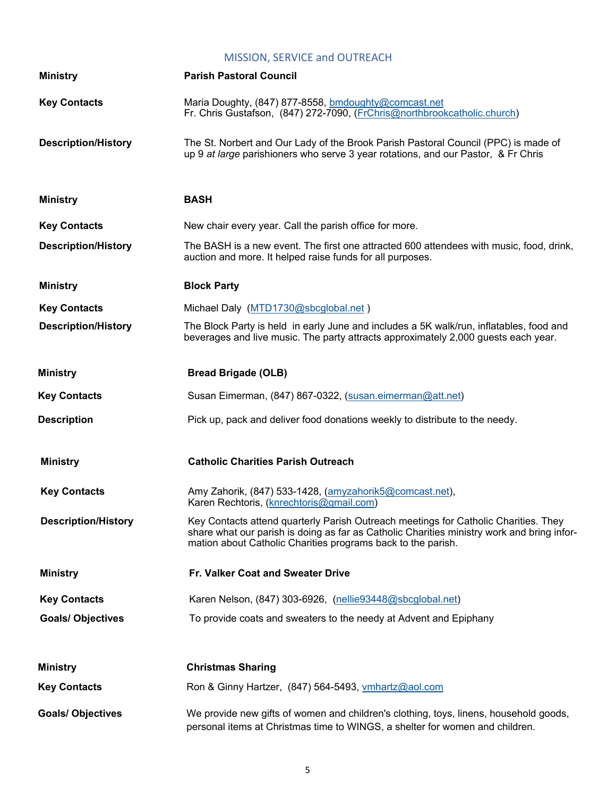## MISSION, SERVICE and OUTREACH

| <b>Ministry</b>            | <b>Parish Pastoral Council</b>                                                                                                                                                                                                                    |
|----------------------------|---------------------------------------------------------------------------------------------------------------------------------------------------------------------------------------------------------------------------------------------------|
| <b>Key Contacts</b>        | Maria Doughty, (847) 877-8558, bmdoughty@comcast.net<br>Fr. Chris Gustafson, (847) 272-7090, (FrChris@northbrookcatholic.church)                                                                                                                  |
| <b>Description/History</b> | The St. Norbert and Our Lady of the Brook Parish Pastoral Council (PPC) is made of<br>up 9 at large parishioners who serve 3 year rotations, and our Pastor, & Fr Chris                                                                           |
| <b>Ministry</b>            | <b>BASH</b>                                                                                                                                                                                                                                       |
| <b>Key Contacts</b>        | New chair every year. Call the parish office for more.                                                                                                                                                                                            |
| <b>Description/History</b> | The BASH is a new event. The first one attracted 600 attendees with music, food, drink,<br>auction and more. It helped raise funds for all purposes.                                                                                              |
| <b>Ministry</b>            | <b>Block Party</b>                                                                                                                                                                                                                                |
| <b>Key Contacts</b>        | Michael Daly (MTD1730@sbcglobal.net)                                                                                                                                                                                                              |
| <b>Description/History</b> | The Block Party is held in early June and includes a 5K walk/run, inflatables, food and<br>beverages and live music. The party attracts approximately 2,000 guests each year.                                                                     |
| <b>Ministry</b>            | <b>Bread Brigade (OLB)</b>                                                                                                                                                                                                                        |
| <b>Key Contacts</b>        | Susan Eimerman, (847) 867-0322, (susan.eimerman@att.net)                                                                                                                                                                                          |
| <b>Description</b>         | Pick up, pack and deliver food donations weekly to distribute to the needy.                                                                                                                                                                       |
| <b>Ministry</b>            | <b>Catholic Charities Parish Outreach</b>                                                                                                                                                                                                         |
| <b>Key Contacts</b>        | Amy Zahorik, (847) 533-1428, (amyzahorik5@comcast.net),<br>Karen Rechtoris, (knrechtoris@gmail.com)                                                                                                                                               |
| <b>Description/History</b> | Key Contacts attend quarterly Parish Outreach meetings for Catholic Charities. They<br>share what our parish is doing as far as Catholic Charities ministry work and bring infor-<br>mation about Catholic Charities programs back to the parish. |
| <b>Ministry</b>            | Fr. Valker Coat and Sweater Drive                                                                                                                                                                                                                 |
| <b>Key Contacts</b>        | Karen Nelson, (847) 303-6926, (nellie93448@sbcglobal.net)                                                                                                                                                                                         |
| <b>Goals/ Objectives</b>   | To provide coats and sweaters to the needy at Advent and Epiphany                                                                                                                                                                                 |
| <b>Ministry</b>            | <b>Christmas Sharing</b>                                                                                                                                                                                                                          |
| <b>Key Contacts</b>        | Ron & Ginny Hartzer, (847) 564-5493, vmhartz@aol.com                                                                                                                                                                                              |
| <b>Goals/ Objectives</b>   | We provide new gifts of women and children's clothing, toys, linens, household goods,<br>personal items at Christmas time to WINGS, a shelter for women and children.                                                                             |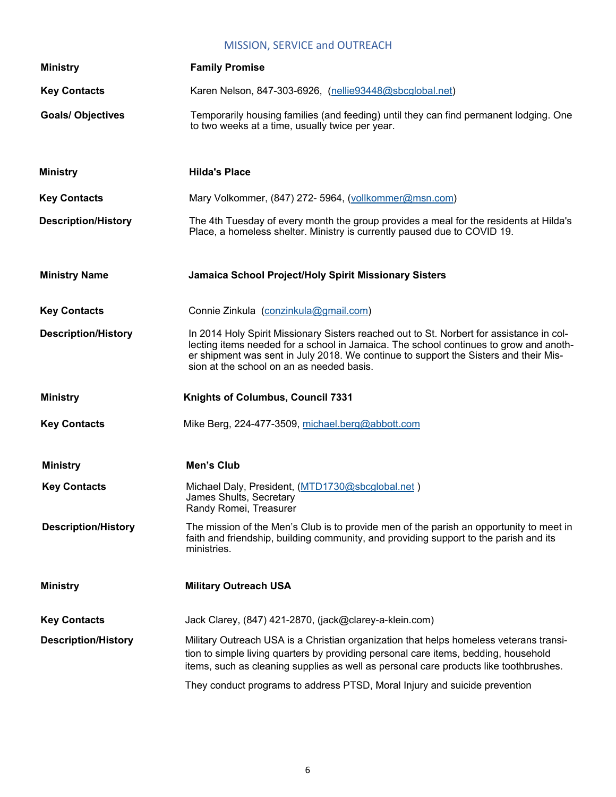## MISSION, SERVICE and OUTREACH

| <b>Ministry</b>            | <b>Family Promise</b>                                                                                                                                                                                                                                                                                                  |
|----------------------------|------------------------------------------------------------------------------------------------------------------------------------------------------------------------------------------------------------------------------------------------------------------------------------------------------------------------|
| <b>Key Contacts</b>        | Karen Nelson, 847-303-6926, (nellie93448@sbcglobal.net)                                                                                                                                                                                                                                                                |
| <b>Goals/ Objectives</b>   | Temporarily housing families (and feeding) until they can find permanent lodging. One<br>to two weeks at a time, usually twice per year.                                                                                                                                                                               |
| <b>Ministry</b>            | <b>Hilda's Place</b>                                                                                                                                                                                                                                                                                                   |
| <b>Key Contacts</b>        | Mary Volkommer, (847) 272- 5964, (vollkommer@msn.com)                                                                                                                                                                                                                                                                  |
| <b>Description/History</b> | The 4th Tuesday of every month the group provides a meal for the residents at Hilda's<br>Place, a homeless shelter. Ministry is currently paused due to COVID 19.                                                                                                                                                      |
| <b>Ministry Name</b>       | Jamaica School Project/Holy Spirit Missionary Sisters                                                                                                                                                                                                                                                                  |
| <b>Key Contacts</b>        | Connie Zinkula (conzinkula@gmail.com)                                                                                                                                                                                                                                                                                  |
| <b>Description/History</b> | In 2014 Holy Spirit Missionary Sisters reached out to St. Norbert for assistance in col-<br>lecting items needed for a school in Jamaica. The school continues to grow and anoth-<br>er shipment was sent in July 2018. We continue to support the Sisters and their Mis-<br>sion at the school on an as needed basis. |
|                            |                                                                                                                                                                                                                                                                                                                        |
| <b>Ministry</b>            | Knights of Columbus, Council 7331                                                                                                                                                                                                                                                                                      |
| <b>Key Contacts</b>        | Mike Berg, 224-477-3509, michael.berg@abbott.com                                                                                                                                                                                                                                                                       |
| <b>Ministry</b>            | Men's Club                                                                                                                                                                                                                                                                                                             |
| <b>Key Contacts</b>        | Michael Daly, President, (MTD1730@sbcglobal.net)<br>James Shults, Secretary<br>Randy Romei, Treasurer                                                                                                                                                                                                                  |
| <b>Description/History</b> | The mission of the Men's Club is to provide men of the parish an opportunity to meet in<br>faith and friendship, building community, and providing support to the parish and its<br>ministries.                                                                                                                        |
| <b>Ministry</b>            | <b>Military Outreach USA</b>                                                                                                                                                                                                                                                                                           |
| <b>Key Contacts</b>        | Jack Clarey, (847) 421-2870, (jack@clarey-a-klein.com)                                                                                                                                                                                                                                                                 |
| <b>Description/History</b> | Military Outreach USA is a Christian organization that helps homeless veterans transi-<br>tion to simple living quarters by providing personal care items, bedding, household<br>items, such as cleaning supplies as well as personal care products like toothbrushes.                                                 |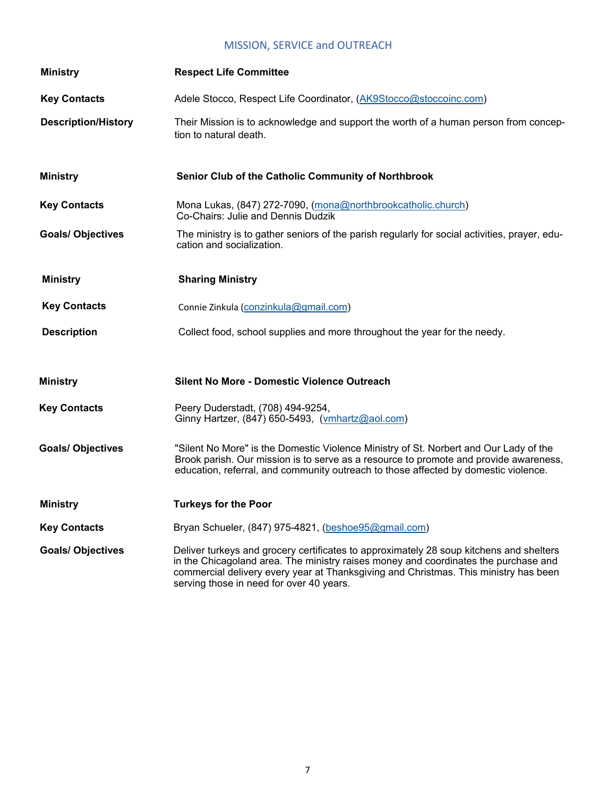## MISSION, SERVICE and OUTREACH

| <b>Ministry</b>            | <b>Respect Life Committee</b>                                                                                                                                                                                                                                                                                      |
|----------------------------|--------------------------------------------------------------------------------------------------------------------------------------------------------------------------------------------------------------------------------------------------------------------------------------------------------------------|
| <b>Key Contacts</b>        | Adele Stocco, Respect Life Coordinator, (AK9Stocco@stoccoinc.com)                                                                                                                                                                                                                                                  |
| <b>Description/History</b> | Their Mission is to acknowledge and support the worth of a human person from concep-<br>tion to natural death.                                                                                                                                                                                                     |
| <b>Ministry</b>            | Senior Club of the Catholic Community of Northbrook                                                                                                                                                                                                                                                                |
| <b>Key Contacts</b>        | Mona Lukas, (847) 272-7090, (mona@northbrookcatholic.church)<br>Co-Chairs: Julie and Dennis Dudzik                                                                                                                                                                                                                 |
| <b>Goals/ Objectives</b>   | The ministry is to gather seniors of the parish regularly for social activities, prayer, edu-<br>cation and socialization.                                                                                                                                                                                         |
| <b>Ministry</b>            | <b>Sharing Ministry</b>                                                                                                                                                                                                                                                                                            |
| <b>Key Contacts</b>        | Connie Zinkula (conzinkula@gmail.com)                                                                                                                                                                                                                                                                              |
| <b>Description</b>         | Collect food, school supplies and more throughout the year for the needy.                                                                                                                                                                                                                                          |
| <b>Ministry</b>            | <b>Silent No More - Domestic Violence Outreach</b>                                                                                                                                                                                                                                                                 |
| <b>Key Contacts</b>        | Peery Duderstadt, (708) 494-9254,<br>Ginny Hartzer, (847) 650-5493, (vmhartz@aol.com)                                                                                                                                                                                                                              |
| <b>Goals/ Objectives</b>   | "Silent No More" is the Domestic Violence Ministry of St. Norbert and Our Lady of the<br>Brook parish. Our mission is to serve as a resource to promote and provide awareness,<br>education, referral, and community outreach to those affected by domestic violence.                                              |
| <b>Ministry</b>            | <b>Turkeys for the Poor</b>                                                                                                                                                                                                                                                                                        |
| <b>Key Contacts</b>        | Bryan Schueler, (847) 975-4821, (beshoe95@gmail.com)                                                                                                                                                                                                                                                               |
| <b>Goals/ Objectives</b>   | Deliver turkeys and grocery certificates to approximately 28 soup kitchens and shelters<br>in the Chicagoland area. The ministry raises money and coordinates the purchase and<br>commercial delivery every year at Thanksgiving and Christmas. This ministry has been<br>serving those in need for over 40 years. |